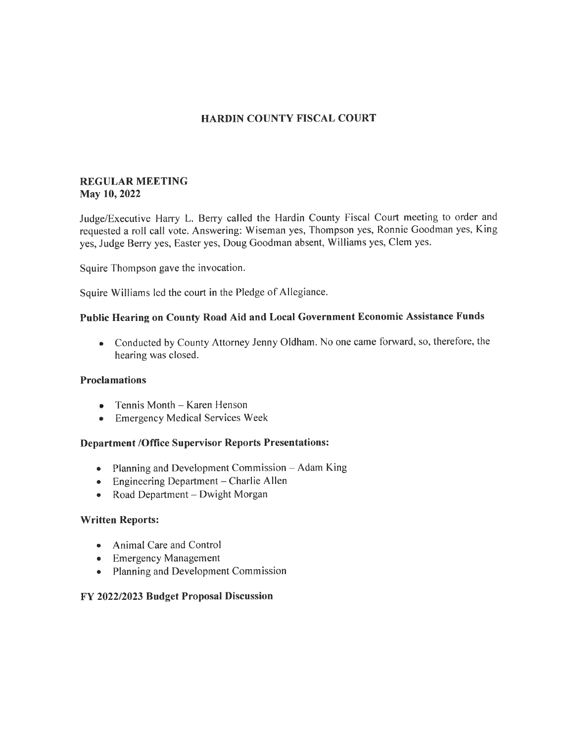# HARDIN COUNTY FISCAL COURT

## REGULAR MEETING May 10, 2022

Judge/Executive Harry L. Berry called the Hardin County Fiscal Court meeting to order and requested a roll call vote. Answering: Wiseman yes, Thompson yes, Ronnie Goodman yes, King yes, Judge Berry yes, Easter yes, Doug Goodman absent, Williams yes, Clem yes.

Squire Thompson gave the invocation.

Squire Williams led the court in the Pledge of Allegiance.

# Public Hearing on County Road Aid and Local Government Economic Assistance Funds

• Conducted by County Attorney Jenny Oldham. No one came forward, so, therefore, the hearing was closed.

#### Proclamations

- Tennis Month Karen Henson<br>• Emergency Medical Services W
- Emergency Medical Services Week

## Department /Office Supervisor Reports Presentations:

- Planning and Development Commission  $-$  Adam King
- Engineering Department Charlie Allen
- Road Department Dwight Morgan

#### Written Reports:

- Animal Care and Control
- Emergency Management
- Planning and Development Commission

## FY 202212023 Budget Proposal Discussion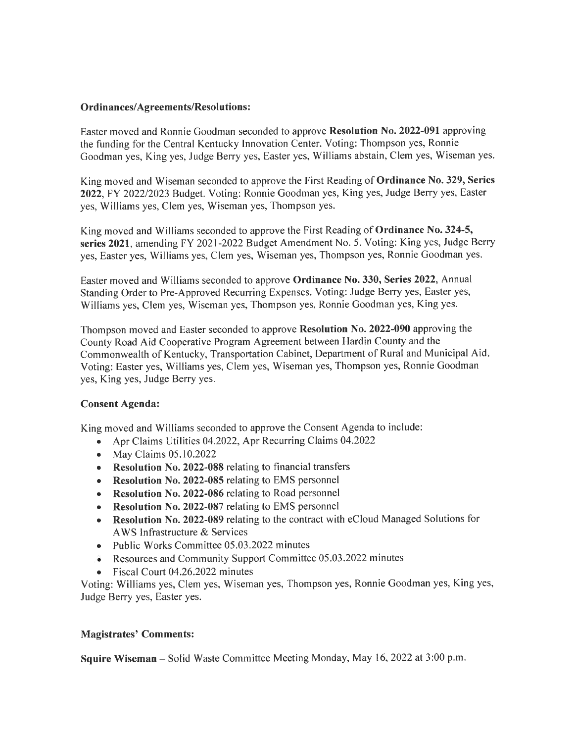#### Ordinances/Agreements/Resolutions:

Easter moved and Ronnie Goodman seconded to approve Resolution No.2022-091 approving the funding for the Central Kentucky Innovation Center. Voting: Thompson yes, Ronnie Goodman yes, King yes, Judge Berry yes, Easter yes, Williams abstain, Clem yes, Wiseman yes.

King moved and Wiseman seconded to approve the First Reading of Ordinance No.329, Series 2022,FY 202212023 Budget. Voting: Ronnie Goodman yes, King yes, Judge Berry yes, Easter yes, Williams yes, Clem yes, Wiseman yes, Thompson yes.

King moved and Williams seconded to approve the First Reading of **Ordinance No. 324-5**. series 2021, amending FY 2021-2022 Budget Amendment No. 5. Voting: King yes, Judge Berry yes, Easter yes, Williams yes, Clem yes, Wiseman yes, Thompson yes, Ronnie Goodman yes.

Easter moved and Williams seconded to approve Ordinance No.330, Series 2022, Annual Standing Order to Pre-Approved Recurring Expenses. Voting: Judge Berry yes, Easter yes, Williams yes, Clem yes, Wiseman yes, Thompson yes, Ronnie Goodman yes, King yes.

Thompson moved and Easter seconded to approve Resolution No. 2022-090 approving the County Road Aid Cooperative Program Agreement between Hardin County and the Commonwealth of Kentucky, Transportation Cabinet, Department of Rural and Municipal Aid Voting: Easter yes, Williams yes, Clem yes, Wiseman yes, Thompson yes, Ronnie Goodman yes, King yes, Judge Berry yes.

## Consent Agenda:

King moved and Williams seconded to approve the Consent Agenda to include:

- . Apr Claims Utilities 04.2022, Apr Recurring Claims 04.2022
- o May Claims 05.10.2022
- Resolution No. 2022-088 relating to financial transfers
- Resolution No. 2022-085 relating to EMS personnel
- Resolution No. 2022-086 relating to Road personnel
- Resolution No. 2022-087 relating to EMS personnel
- Resolution No. 2022-089 relating to the contract with eCloud Managed Solutions for AWS Infrastructure & Services
- Public Works Committee 05.03.2022 minutes
- Resources and Community Support Committee 05.03.2022 minutes
- Fiscal Court 04.26.2022 minutes

Voting: Williams yes, Clem yes, Wiseman yes, Thompson yes, Ronnie Goodman yes, King yes, Judge Berry yes, Easter yes.

## Magistrates' Comments:

Squire Wiseman - Solid Waste Committee Meeting Monday, May 16, 2022 at 3:00 p.m.